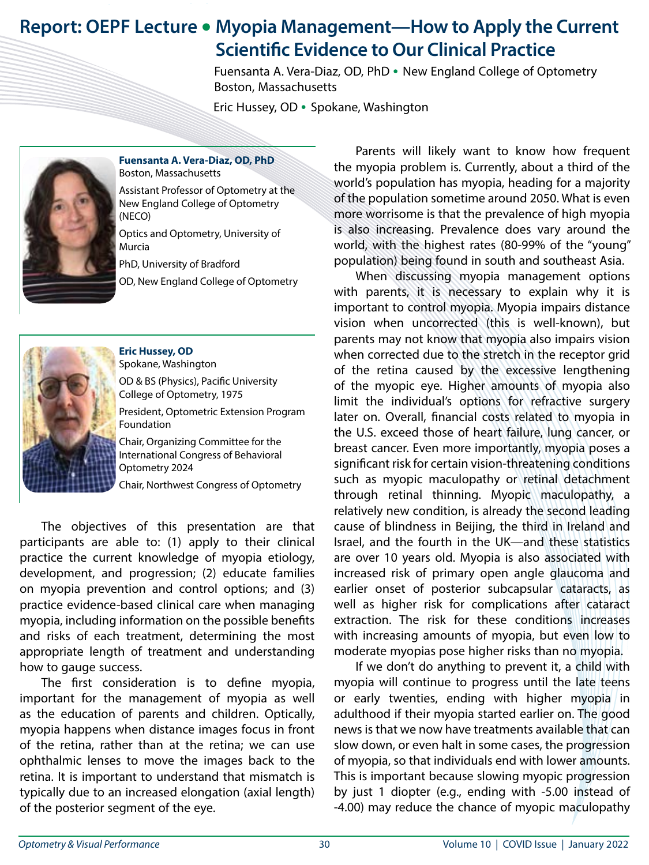## **Report: OEPF Lecture • Myopia Management—How to Apply the Current Scientific Evidence to Our Clinical Practice**

 Fuensanta A. Vera-Diaz, OD, PhD **•** New England College of OptometryBoston, Massachusetts

Eric Hussey, OD **•** Spokane, Washington



**Fuensanta A. Vera-Diaz, OD, PhD** Boston, Massachusetts Assistant Professor of Optometry at the New England College of Optometry (NECO)

Optics and Optometry, University of Murcia

PhD, University of Bradford

OD, New England College of Optometry



**Eric Hussey, OD** Spokane, Washington

OD & BS (Physics), Pacific University College of Optometry, 1975

President, Optometric Extension Program Foundation

Chair, Organizing Committee for the International Congress of Behavioral Optometry 2024

Chair, Northwest Congress of Optometry

The objectives of this presentation are that participants are able to: (1) apply to their clinical practice the current knowledge of myopia etiology, development, and progression; (2) educate families on myopia prevention and control options; and (3) practice evidence-based clinical care when managing myopia, including information on the possible benefits and risks of each treatment, determining the most appropriate length of treatment and understanding how to gauge success.

The first consideration is to define myopia, important for the management of myopia as well as the education of parents and children. Optically, myopia happens when distance images focus in front of the retina, rather than at the retina; we can use ophthalmic lenses to move the images back to the retina. It is important to understand that mismatch is typically due to an increased elongation (axial length) of the posterior segment of the eye.

Parents will likely want to know how frequent the myopia problem is. Currently, about a third of the world's population has myopia, heading for a majority of the population sometime around 2050. What is even more worrisome is that the prevalence of high myopia is also increasing. Prevalence does vary around the world, with the highest rates (80-99% of the "young" population) being found in south and southeast Asia.

When discussing myopia management options with parents, it is necessary to explain why it is important to control myopia. Myopia impairs distance vision when uncorrected (this is well-known), but parents may not know that myopia also impairs vision when corrected due to the stretch in the receptor grid of the retina caused by the excessive lengthening of the myopic eye. Higher amounts of myopia also limit the individual's options for refractive surgery later on. Overall, financial costs related to myopia in the U.S. exceed those of heart failure, lung cancer, or breast cancer. Even more importantly, myopia poses a significant risk for certain vision-threatening conditions such as myopic maculopathy or retinal detachment through retinal thinning. Myopic maculopathy, a relatively new condition, is already the second leading cause of blindness in Beijing, the third in Ireland and Israel, and the fourth in the UK—and these statistics are over 10 years old. Myopia is also associated with increased risk of primary open angle glaucoma and earlier onset of posterior subcapsular cataracts, as well as higher risk for complications after cataract extraction. The risk for these conditions increases with increasing amounts of myopia, but even low to moderate myopias pose higher risks than no myopia.

If we don't do anything to prevent it, a child with myopia will continue to progress until the late teens or early twenties, ending with higher myopia in adulthood if their myopia started earlier on. The good news is that we now have treatments available that can slow down, or even halt in some cases, the progression of myopia, so that individuals end with lower amounts. This is important because slowing myopic progression by just 1 diopter (e.g., ending with -5.00 instead of -4.00) may reduce the chance of myopic maculopathy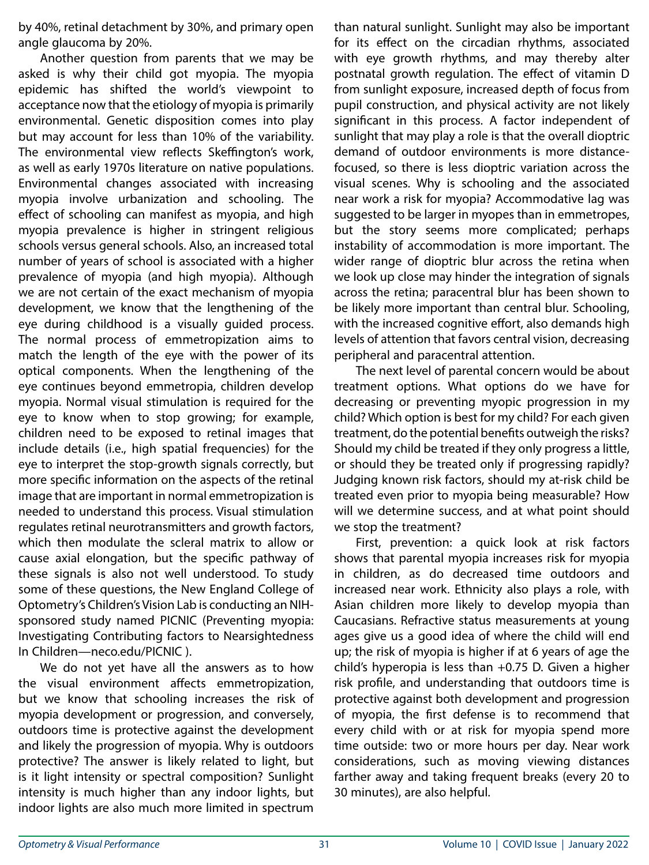by 40%, retinal detachment by 30%, and primary open angle glaucoma by 20%.

Another question from parents that we may be asked is why their child got myopia. The myopia epidemic has shifted the world's viewpoint to acceptance now that the etiology of myopia is primarily environmental. Genetic disposition comes into play but may account for less than 10% of the variability. The environmental view reflects Skeffington's work, as well as early 1970s literature on native populations. Environmental changes associated with increasing myopia involve urbanization and schooling. The effect of schooling can manifest as myopia, and high myopia prevalence is higher in stringent religious schools versus general schools. Also, an increased total number of years of school is associated with a higher prevalence of myopia (and high myopia). Although we are not certain of the exact mechanism of myopia development, we know that the lengthening of the eye during childhood is a visually guided process. The normal process of emmetropization aims to match the length of the eye with the power of its optical components. When the lengthening of the eye continues beyond emmetropia, children develop myopia. Normal visual stimulation is required for the eye to know when to stop growing; for example, children need to be exposed to retinal images that include details (i.e., high spatial frequencies) for the eye to interpret the stop-growth signals correctly, but more specific information on the aspects of the retinal image that are important in normal emmetropization is needed to understand this process. Visual stimulation regulates retinal neurotransmitters and growth factors, which then modulate the scleral matrix to allow or cause axial elongation, but the specific pathway of these signals is also not well understood. To study some of these questions, the New England College of Optometry's Children's Vision Lab is conducting an NIHsponsored study named PICNIC (Preventing myopia: Investigating Contributing factors to Nearsightedness In Children—neco.edu/PICNIC ).

We do not yet have all the answers as to how the visual environment affects emmetropization, but we know that schooling increases the risk of myopia development or progression, and conversely, outdoors time is protective against the development and likely the progression of myopia. Why is outdoors protective? The answer is likely related to light, but is it light intensity or spectral composition? Sunlight intensity is much higher than any indoor lights, but indoor lights are also much more limited in spectrum

than natural sunlight. Sunlight may also be important for its effect on the circadian rhythms, associated with eye growth rhythms, and may thereby alter postnatal growth regulation. The effect of vitamin D from sunlight exposure, increased depth of focus from pupil construction, and physical activity are not likely significant in this process. A factor independent of sunlight that may play a role is that the overall dioptric demand of outdoor environments is more distancefocused, so there is less dioptric variation across the visual scenes. Why is schooling and the associated near work a risk for myopia? Accommodative lag was suggested to be larger in myopes than in emmetropes, but the story seems more complicated; perhaps instability of accommodation is more important. The wider range of dioptric blur across the retina when we look up close may hinder the integration of signals across the retina; paracentral blur has been shown to be likely more important than central blur. Schooling, with the increased cognitive effort, also demands high levels of attention that favors central vision, decreasing peripheral and paracentral attention.

The next level of parental concern would be about treatment options. What options do we have for decreasing or preventing myopic progression in my child? Which option is best for my child? For each given treatment, do the potential benefits outweigh the risks? Should my child be treated if they only progress a little, or should they be treated only if progressing rapidly? Judging known risk factors, should my at-risk child be treated even prior to myopia being measurable? How will we determine success, and at what point should we stop the treatment?

First, prevention: a quick look at risk factors shows that parental myopia increases risk for myopia in children, as do decreased time outdoors and increased near work. Ethnicity also plays a role, with Asian children more likely to develop myopia than Caucasians. Refractive status measurements at young ages give us a good idea of where the child will end up; the risk of myopia is higher if at 6 years of age the child's hyperopia is less than +0.75 D. Given a higher risk profile, and understanding that outdoors time is protective against both development and progression of myopia, the first defense is to recommend that every child with or at risk for myopia spend more time outside: two or more hours per day. Near work considerations, such as moving viewing distances farther away and taking frequent breaks (every 20 to 30 minutes), are also helpful.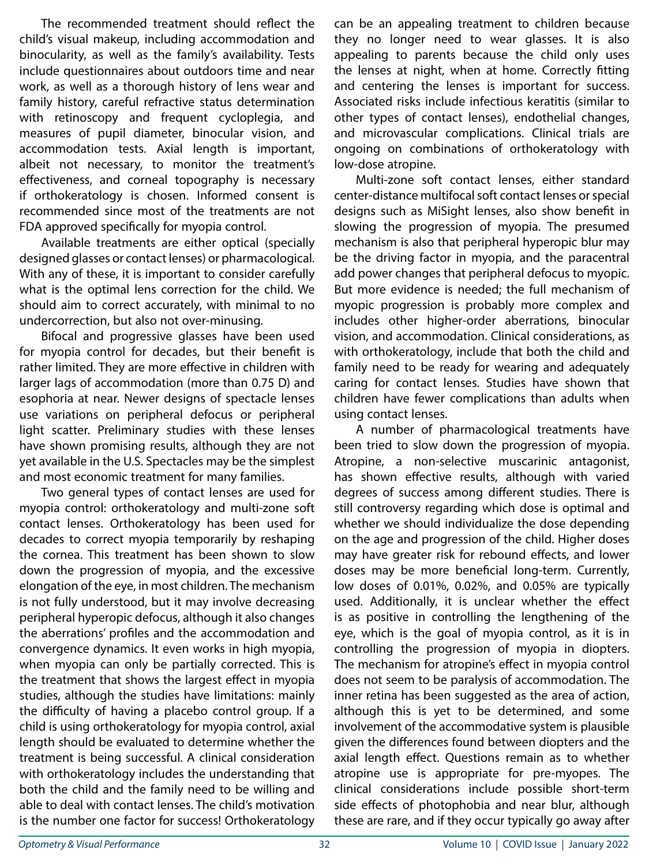The recommended treatment should reflect the child's visual makeup, including accommodation and binocularity, as well as the family's availability. Tests include questionnaires about outdoors time and near work, as well as a thorough history of lens wear and family history, careful refractive status determination with retinoscopy and frequent cycloplegia, and measures of pupil diameter, binocular vision, and accommodation tests. Axial length is important, albeit not necessary, to monitor the treatment's effectiveness, and corneal topography is necessary if orthokeratology is chosen. Informed consent is recommended since most of the treatments are not FDA approved specifically for myopia control.

Available treatments are either optical (specially designed glasses or contact lenses) or pharmacological. With any of these, it is important to consider carefully what is the optimal lens correction for the child. We should aim to correct accurately, with minimal to no undercorrection, but also not over-minusing.

Bifocal and progressive glasses have been used for myopia control for decades, but their benefit is rather limited. They are more effective in children with larger lags of accommodation (more than 0.75 D) and esophoria at near. Newer designs of spectacle lenses use variations on peripheral defocus or peripheral light scatter. Preliminary studies with these lenses have shown promising results, although they are not yet available in the U.S. Spectacles may be the simplest and most economic treatment for many families.

Two general types of contact lenses are used for myopia control: orthokeratology and multi-zone soft contact lenses. Orthokeratology has been used for decades to correct myopia temporarily by reshaping the cornea. This treatment has been shown to slow down the progression of myopia, and the excessive elongation of the eye, in most children. The mechanism is not fully understood, but it may involve decreasing peripheral hyperopic defocus, although it also changes the aberrations' profiles and the accommodation and convergence dynamics. It even works in high myopia, when myopia can only be partially corrected. This is the treatment that shows the largest effect in myopia studies, although the studies have limitations: mainly the difficulty of having a placebo control group. If a child is using orthokeratology for myopia control, axial length should be evaluated to determine whether the treatment is being successful. A clinical consideration with orthokeratology includes the understanding that both the child and the family need to be willing and able to deal with contact lenses. The child's motivation is the number one factor for success! Orthokeratology

can be an appealing treatment to children because they no longer need to wear glasses. It is also appealing to parents because the child only uses the lenses at night, when at home. Correctly fitting and centering the lenses is important for success. Associated risks include infectious keratitis (similar to other types of contact lenses), endothelial changes, and microvascular complications. Clinical trials are ongoing on combinations of orthokeratology with low-dose atropine.

Multi-zone soft contact lenses, either standard center-distance multifocal soft contact lenses or special designs such as MiSight lenses, also show benefit in slowing the progression of myopia. The presumed mechanism is also that peripheral hyperopic blur may be the driving factor in myopia, and the paracentral add power changes that peripheral defocus to myopic. But more evidence is needed; the full mechanism of myopic progression is probably more complex and includes other higher-order aberrations, binocular vision, and accommodation. Clinical considerations, as with orthokeratology, include that both the child and family need to be ready for wearing and adequately caring for contact lenses. Studies have shown that children have fewer complications than adults when using contact lenses.

A number of pharmacological treatments have been tried to slow down the progression of myopia. Atropine, a non-selective muscarinic antagonist, has shown effective results, although with varied degrees of success among different studies. There is still controversy regarding which dose is optimal and whether we should individualize the dose depending on the age and progression of the child. Higher doses may have greater risk for rebound effects, and lower doses may be more beneficial long-term. Currently, low doses of 0.01%, 0.02%, and 0.05% are typically used. Additionally, it is unclear whether the effect is as positive in controlling the lengthening of the eye, which is the goal of myopia control, as it is in controlling the progression of myopia in diopters. The mechanism for atropine's effect in myopia control does not seem to be paralysis of accommodation. The inner retina has been suggested as the area of action, although this is yet to be determined, and some involvement of the accommodative system is plausible given the differences found between diopters and the axial length effect. Questions remain as to whether atropine use is appropriate for pre-myopes. The clinical considerations include possible short-term side effects of photophobia and near blur, although these are rare, and if they occur typically go away after